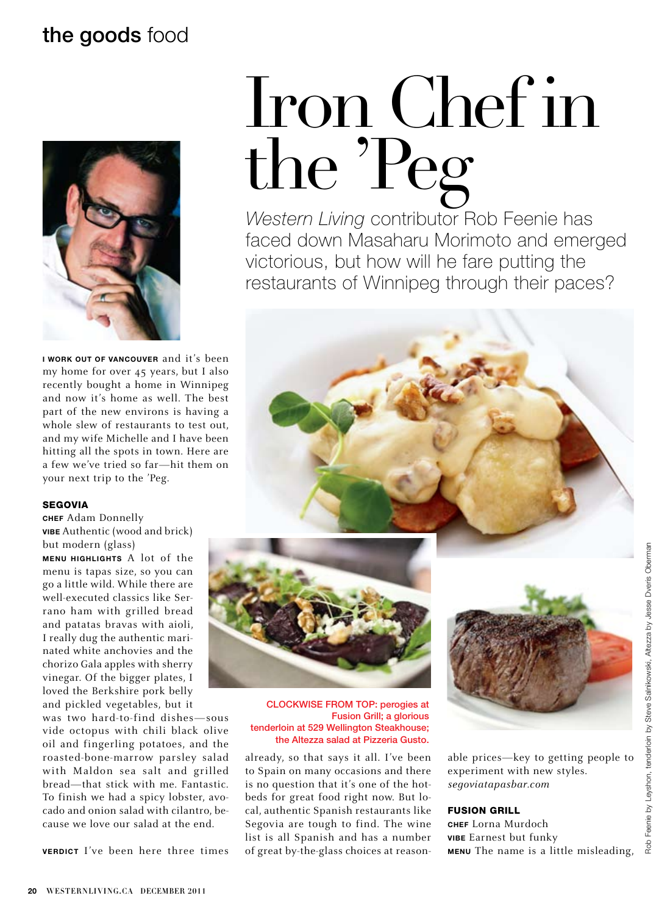## the goods food



**I work out of Vancouver** and it's been my home for over 45 years, but I also recently bought a home in Winnipeg and now it's home as well. The best part of the new environs is having a whole slew of restaurants to test out, and my wife Michelle and I have been hitting all the spots in town. Here are a few we've tried so far—hit them on your next trip to the 'Peg.

#### **SEGOVIA**

**Chef** Adam Donnelly **Vibe** Authentic (wood and brick) but modern (glass)

**Menu Highlights** A lot of the menu is tapas size, so you can go a little wild. While there are well-executed classics like Serrano ham with grilled bread and patatas bravas with aioli, I really dug the authentic marinated white anchovies and the chorizo Gala apples with sherry vinegar. Of the bigger plates, I loved the Berkshire pork belly and pickled vegetables, but it

was two hard-to-find dishes—sous vide octopus with chili black olive oil and fingerling potatoes, and the roasted-bone-marrow parsley salad with Maldon sea salt and grilled bread—that stick with me. Fantastic. To finish we had a spicy lobster, avocado and onion salad with cilantro, because we love our salad at the end.

**Verdict** I've been here three times

# Iron Chef in the 'Peg

*Western Living* contributor Rob Feenie has faced down Masaharu Morimoto and emerged victorious, but how will he fare putting the restaurants of Winnipeg through their paces?





CLOCKWISE FROM TOP: perogies at Fusion Grill; a glorious tenderloin at 529 Wellington Steakhouse; the Altezza salad at Pizzeria Gusto.

already, so that says it all. I've been to Spain on many occasions and there is no question that it's one of the hotbeds for great food right now. But local, authentic Spanish restaurants like Segovia are tough to find. The wine list is all Spanish and has a number of great by-the-glass choices at reason-



able prices—key to getting people to experiment with new styles. *segoviatapasbar.com* 

### Fusion Grill

**Chef** Lorna Murdoch **Vibe** Earnest but funky **Menu** The name is a little misleading,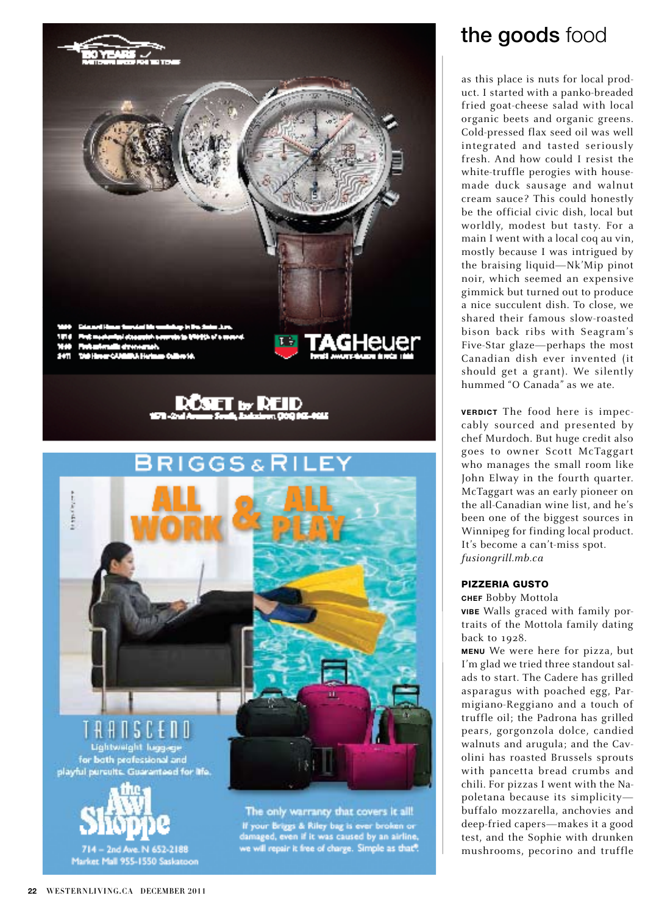



## the goods food

as this place is nuts for local prod uct. I started with a panko-breaded fried goat-cheese salad with local organic beets and organic greens. Cold-pressed flax seed oil was well integrated and tasted seriously fresh. And how could I resist the white-truffle perogies with housemade duck sausage and walnut cream sauce? This could honestly be the official civic dish, local but worldly, modest but tasty. For a main I went with a local coq au vin, mostly because I was intrigued by the braising liquid—Nk'Mip pinot noir, which seemed an expensive gimmick but turned out to produce a nice succulent dish. To close, we shared their famous slow-roasted bison back ribs with Seagram's Five-Star glaze—perhaps the most Canadian dish ever invented (it should get a grant). We silently hummed "O Canada" as we ate.

**VERDICT** The food here is impeccably sourced and presented by chef Murdoch. But huge credit also goes to owner Scott McTaggart who manages the small room like John Elway in the fourth quarter. McTaggart was an early pioneer on the all-Canadian wine list, and he's been one of the biggest sources in Winnipeg for finding local product. It's become a can't-miss spot. *fusiongrill.mb.ca*

## PIZZERIA GUSTO

#### **Chef** Bobby Mottola

**Vibe** Walls graced with family por traits of the Mottola family dating back to 1928.

**Menu** We were here for pizza, but I'm glad we tried three standout sal ads to start. The Cadere has grilled asparagus with poached egg, Par migiano-Reggiano and a touch of truffle oil; the Padrona has grilled pears, gorgonzola dolce, candied walnuts and arugula; and the Cav olini has roasted Brussels sprouts with pancetta bread crumbs and chili. For pizzas I went with the Na poletana because its simplicity buffalo mozzarella, anchovies and deep-fried capers—makes it a good test, and the Sophie with drunken mushrooms, pecorino and truffle

Market Mall 955-1550 Saskatoon